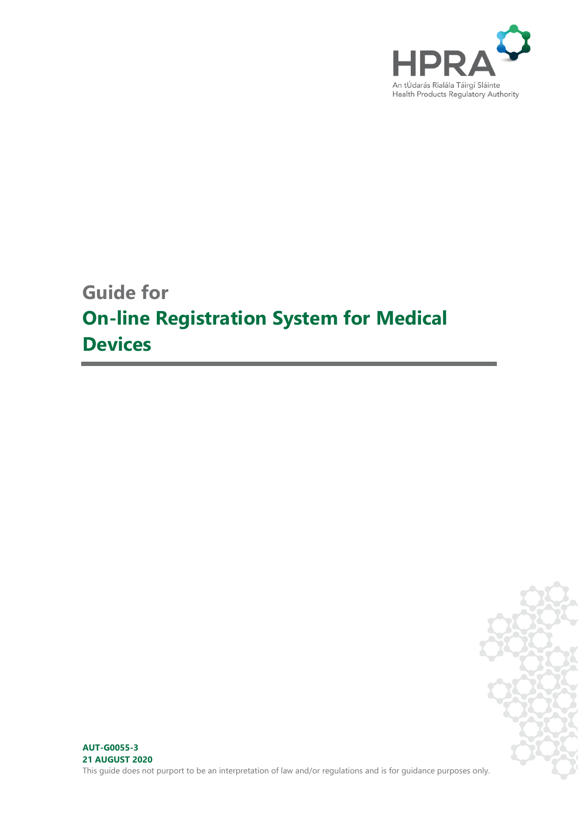

# **Guide for On-line Registration System for Medical Devices**

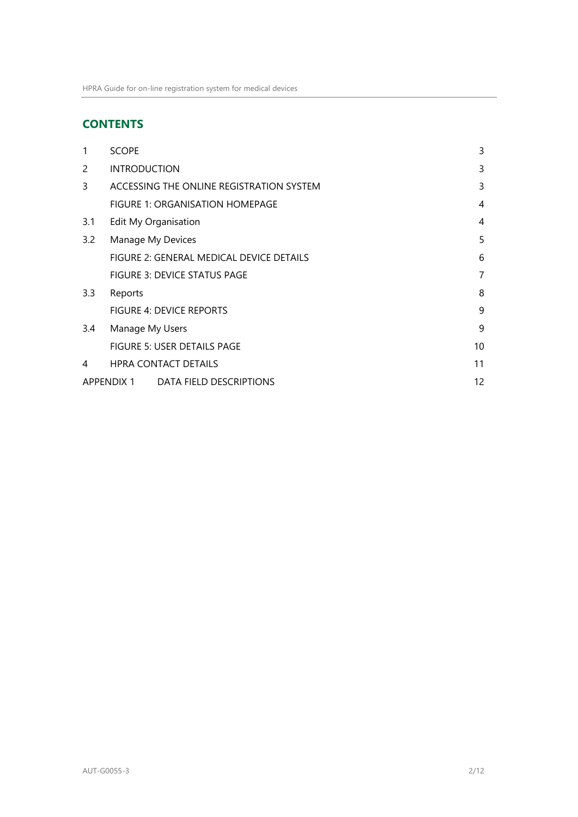# **CONTENTS**

| 1                | <b>SCOPE</b>        |                                          | 3  |
|------------------|---------------------|------------------------------------------|----|
| $\mathcal{P}$    | <b>INTRODUCTION</b> |                                          | 3  |
| 3                |                     | ACCESSING THE ONLINE REGISTRATION SYSTEM | 3  |
|                  |                     | FIGURE 1: ORGANISATION HOMEPAGE          | 4  |
| 3.1              |                     | Edit My Organisation                     | 4  |
| 3.2              | Manage My Devices   |                                          | 5  |
|                  |                     | FIGURE 2: GENERAL MEDICAL DEVICE DETAILS | 6  |
|                  |                     | <b>FIGURE 3: DEVICE STATUS PAGE</b>      | 7  |
| $3.3\phantom{0}$ | Reports             |                                          | 8  |
|                  |                     | <b>FIGURE 4: DEVICE REPORTS</b>          | 9  |
| 3.4              | Manage My Users     |                                          | 9  |
|                  |                     | FIGURE 5: USER DETAILS PAGE              | 10 |
| 4                |                     | <b>HPRA CONTACT DETAILS</b>              | 11 |
|                  | <b>APPENDIX 1</b>   | DATA FIELD DESCRIPTIONS                  | 12 |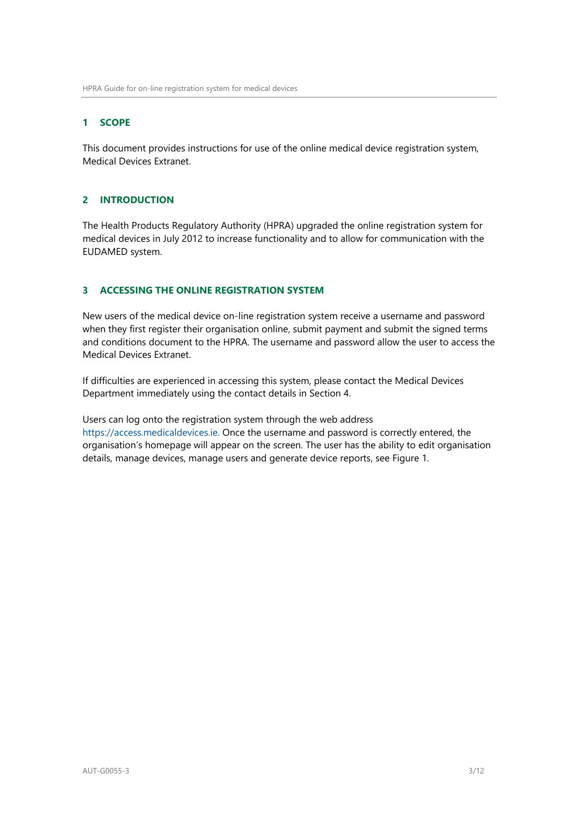# <span id="page-2-0"></span>**1 SCOPE**

This document provides instructions for use of the online medical device registration system, Medical Devices Extranet.

# <span id="page-2-1"></span>**2 INTRODUCTION**

The Health Products Regulatory Authority (HPRA) upgraded the online registration system for medical devices in July 2012 to increase functionality and to allow for communication with the EUDAMED system.

# <span id="page-2-2"></span>**3 ACCESSING THE ONLINE REGISTRATION SYSTEM**

New users of the medical device on-line registration system receive a username and password when they first register their organisation online, submit payment and submit the signed terms and conditions document to the HPRA. The username and password allow the user to access the Medical Devices Extranet.

If difficulties are experienced in accessing this system, please contact the Medical Devices Department immediately using the contact details in Section 4.

Users can log onto the registration system through the web address [https://access.medicaldevices.ie.](https://access.medicaldevices.ie/) Once the username and password is correctly entered, the organisation's homepage will appear on the screen. The user has the ability to edit organisation details, manage devices, manage users and generate device reports, see Figure 1.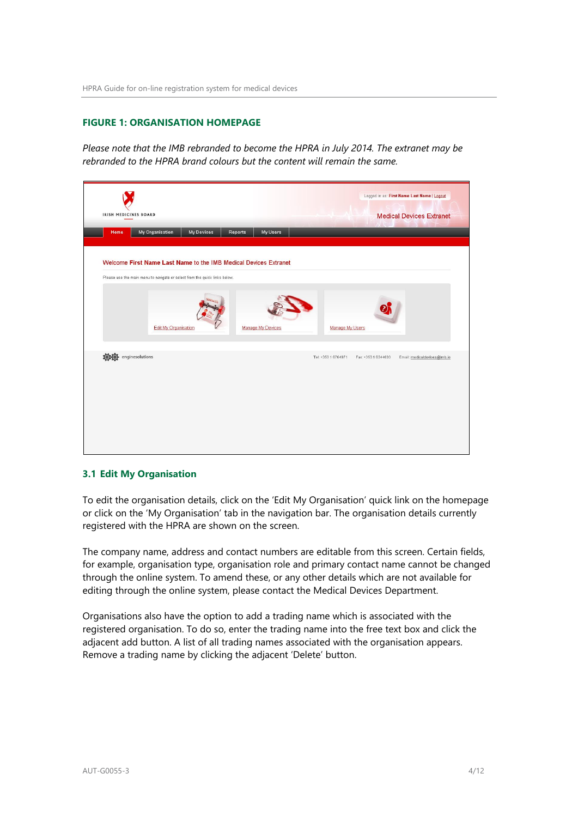#### <span id="page-3-0"></span>**FIGURE 1: ORGANISATION HOMEPAGE**

*Please note that the IMB rebranded to become the HPRA in July 2014. The extranet may be rebranded to the HPRA brand colours but the content will remain the same.*

|      | My Organisation                                                            | <b>My Devices</b> | Reports | My Users          |                     |                     |                              |
|------|----------------------------------------------------------------------------|-------------------|---------|-------------------|---------------------|---------------------|------------------------------|
|      | Welcome First Name Last Name to the IMB Medical Devices Extranet           |                   |         |                   |                     |                     |                              |
|      | Please use the main menu to navigate or select from the quick links below. |                   |         |                   |                     |                     |                              |
|      |                                                                            |                   |         |                   |                     |                     |                              |
|      |                                                                            |                   |         |                   |                     |                     |                              |
|      | Edit My Organisation                                                       |                   |         | Manage My Devices | Manage My Users     |                     |                              |
| 10:0 | enginesolutions                                                            |                   |         |                   | Tel: +353 1 6764971 | Fax: +353 1 6344033 | Email: medicaldevices@imb.ie |
|      |                                                                            |                   |         |                   |                     |                     |                              |
|      |                                                                            |                   |         |                   |                     |                     |                              |
|      |                                                                            |                   |         |                   |                     |                     |                              |

#### <span id="page-3-1"></span>**3.1 Edit My Organisation**

To edit the organisation details, click on the 'Edit My Organisation' quick link on the homepage or click on the 'My Organisation' tab in the navigation bar. The organisation details currently registered with the HPRA are shown on the screen.

The company name, address and contact numbers are editable from this screen. Certain fields, for example, organisation type, organisation role and primary contact name cannot be changed through the online system. To amend these, or any other details which are not available for editing through the online system, please contact the Medical Devices Department.

Organisations also have the option to add a trading name which is associated with the registered organisation. To do so, enter the trading name into the free text box and click the adjacent add button. A list of all trading names associated with the organisation appears. Remove a trading name by clicking the adjacent 'Delete' button.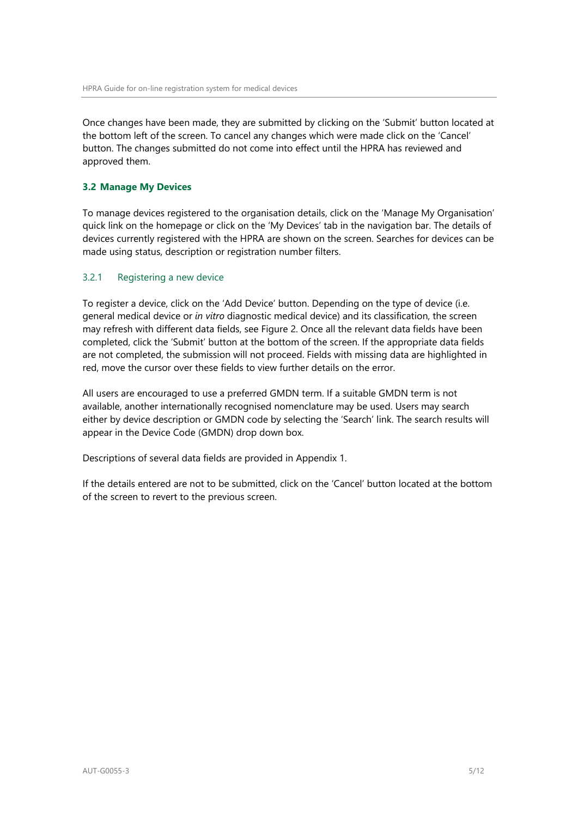Once changes have been made, they are submitted by clicking on the 'Submit' button located at the bottom left of the screen. To cancel any changes which were made click on the 'Cancel' button. The changes submitted do not come into effect until the HPRA has reviewed and approved them.

#### <span id="page-4-0"></span>**3.2 Manage My Devices**

To manage devices registered to the organisation details, click on the 'Manage My Organisation' quick link on the homepage or click on the 'My Devices' tab in the navigation bar. The details of devices currently registered with the HPRA are shown on the screen. Searches for devices can be made using status, description or registration number filters.

#### 3.2.1 Registering a new device

To register a device, click on the 'Add Device' button. Depending on the type of device (i.e. general medical device or *in vitro* diagnostic medical device) and its classification, the screen may refresh with different data fields, see Figure 2. Once all the relevant data fields have been completed, click the 'Submit' button at the bottom of the screen. If the appropriate data fields are not completed, the submission will not proceed. Fields with missing data are highlighted in red, move the cursor over these fields to view further details on the error.

All users are encouraged to use a preferred GMDN term. If a suitable GMDN term is not available, another internationally recognised nomenclature may be used. Users may search either by device description or GMDN code by selecting the 'Search' link. The search results will appear in the Device Code (GMDN) drop down box.

Descriptions of several data fields are provided in Appendix 1.

If the details entered are not to be submitted, click on the 'Cancel' button located at the bottom of the screen to revert to the previous screen.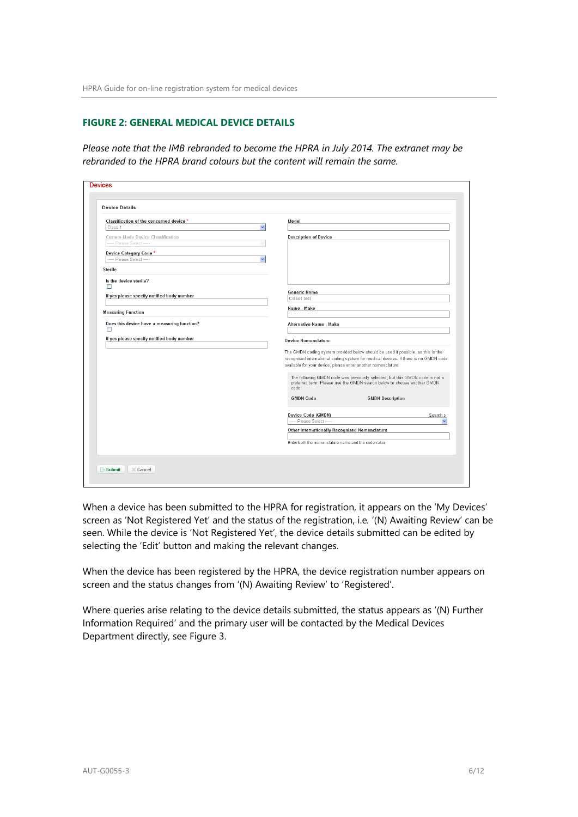#### <span id="page-5-0"></span>**FIGURE 2: GENERAL MEDICAL DEVICE DETAILS**

*Please note that the IMB rebranded to become the HPRA in July 2014. The extranet may be rebranded to the HPRA brand colours but the content will remain the same.*

| Classification of the concerned device *    | Model                                                                                                                                                                                                                                     |
|---------------------------------------------|-------------------------------------------------------------------------------------------------------------------------------------------------------------------------------------------------------------------------------------------|
| $\checkmark$<br>Class 1                     |                                                                                                                                                                                                                                           |
| Custom-Made Device Classification           | <b>Description of Device</b>                                                                                                                                                                                                              |
| ---- Please Select -----                    |                                                                                                                                                                                                                                           |
| Device Category Code*                       |                                                                                                                                                                                                                                           |
| ---- Please Select -----<br>$\checkmark$    |                                                                                                                                                                                                                                           |
| Sterile                                     |                                                                                                                                                                                                                                           |
| Is the device sterile?                      |                                                                                                                                                                                                                                           |
| п                                           | <b>Generic Name</b>                                                                                                                                                                                                                       |
| If yes please specify notified body number  | Class I test                                                                                                                                                                                                                              |
|                                             | Name - Make                                                                                                                                                                                                                               |
| <b>Measuring Function</b>                   |                                                                                                                                                                                                                                           |
| Does this device have a measuring function? | Alternative Name - Make                                                                                                                                                                                                                   |
| □                                           |                                                                                                                                                                                                                                           |
| If yes please specify notified body number  | <b>Device Nomenclature</b>                                                                                                                                                                                                                |
|                                             | The GMDN coding system provided below should be used if possible, as this is the<br>recognised international coding system for medical devices. If there is no GMDN code<br>available for your device, please enter another nomenclature. |
|                                             | The following GMDN code was previously selected, but this GMDN code is not a<br>preferred term. Please use the GMDN search below to choose another GMDN<br>code.                                                                          |
|                                             | <b>GMDN Code</b><br><b>GMDN Description</b>                                                                                                                                                                                               |
|                                             | Device Code (GMDN)<br>Search »                                                                                                                                                                                                            |
|                                             | ----- Please Select -----                                                                                                                                                                                                                 |
|                                             | Other Internationally Recognised Nomenclature                                                                                                                                                                                             |
|                                             | Enter both the nomenclature name and the code value                                                                                                                                                                                       |
|                                             |                                                                                                                                                                                                                                           |

When a device has been submitted to the HPRA for registration, it appears on the 'My Devices' screen as 'Not Registered Yet' and the status of the registration, i.e*.* '(N) Awaiting Review' can be seen. While the device is 'Not Registered Yet', the device details submitted can be edited by selecting the 'Edit' button and making the relevant changes.

When the device has been registered by the HPRA, the device registration number appears on screen and the status changes from '(N) Awaiting Review' to 'Registered'.

Where queries arise relating to the device details submitted, the status appears as '(N) Further Information Required' and the primary user will be contacted by the Medical Devices Department directly, see Figure 3.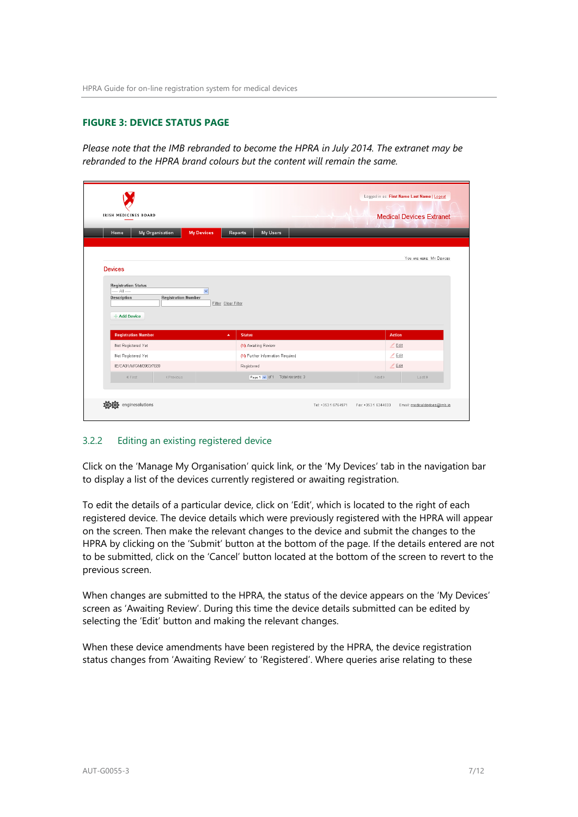# <span id="page-6-0"></span>**FIGURE 3: DEVICE STATUS PAGE**

*Please note that the IMB rebranded to become the HPRA in July 2014. The extranet may be rebranded to the HPRA brand colours but the content will remain the same.*

| <b>IRISH MEDICINES BOARD</b>                                                                                       |                                           | Logged in as: First Name Last Name   Logout<br><b>Medical Devices Extranet</b> |
|--------------------------------------------------------------------------------------------------------------------|-------------------------------------------|--------------------------------------------------------------------------------|
| <b>My Devices</b><br>My Organisation<br>Home                                                                       | My Users<br>Reports                       |                                                                                |
| <b>Devices</b><br><b>Registration Status</b><br>$\left  \ldots \right $ $\left  \; \ldots \right $<br>$\checkmark$ |                                           | YOU ARE HERE: MY DEMCES                                                        |
| Description<br><b>Registration Number</b><br>+ Add Device<br><b>Registration Number</b>                            | Filter Clear Filter<br><b>Status</b><br>× | <b>Action</b>                                                                  |
| Not Registered Yet                                                                                                 | (N) Awaiting Review                       | $Z$ Edit                                                                       |
| Not Registered Yet                                                                                                 | (N) Further Information Required          | $Z$ Edit                                                                       |
|                                                                                                                    | Registered                                | $Z$ Edit                                                                       |
| IE/CA01/M/GM/0983/7689                                                                                             |                                           | Next ><br>Last »                                                               |
| « First<br>« Previous                                                                                              | Page 1 v of 1 Total records: 3            |                                                                                |

#### 3.2.2 Editing an existing registered device

Click on the 'Manage My Organisation' quick link, or the 'My Devices' tab in the navigation bar to display a list of the devices currently registered or awaiting registration.

To edit the details of a particular device, click on 'Edit', which is located to the right of each registered device. The device details which were previously registered with the HPRA will appear on the screen. Then make the relevant changes to the device and submit the changes to the HPRA by clicking on the 'Submit' button at the bottom of the page. If the details entered are not to be submitted, click on the 'Cancel' button located at the bottom of the screen to revert to the previous screen.

When changes are submitted to the HPRA, the status of the device appears on the 'My Devices' screen as 'Awaiting Review'. During this time the device details submitted can be edited by selecting the 'Edit' button and making the relevant changes.

When these device amendments have been registered by the HPRA, the device registration status changes from 'Awaiting Review' to 'Registered'. Where queries arise relating to these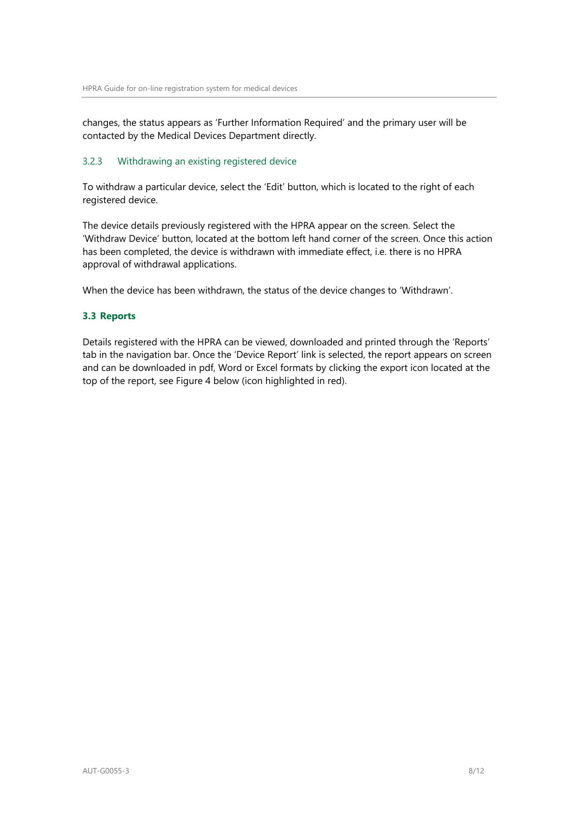changes, the status appears as 'Further Information Required' and the primary user will be contacted by the Medical Devices Department directly.

# 3.2.3 Withdrawing an existing registered device

To withdraw a particular device, select the 'Edit' button, which is located to the right of each registered device.

The device details previously registered with the HPRA appear on the screen. Select the 'Withdraw Device' button, located at the bottom left hand corner of the screen. Once this action has been completed, the device is withdrawn with immediate effect, i.e. there is no HPRA approval of withdrawal applications.

When the device has been withdrawn, the status of the device changes to 'Withdrawn'.

# <span id="page-7-0"></span>**3.3 Reports**

Details registered with the HPRA can be viewed, downloaded and printed through the 'Reports' tab in the navigation bar. Once the 'Device Report' link is selected, the report appears on screen and can be downloaded in pdf, Word or Excel formats by clicking the export icon located at the top of the report, see Figure 4 below (icon highlighted in red).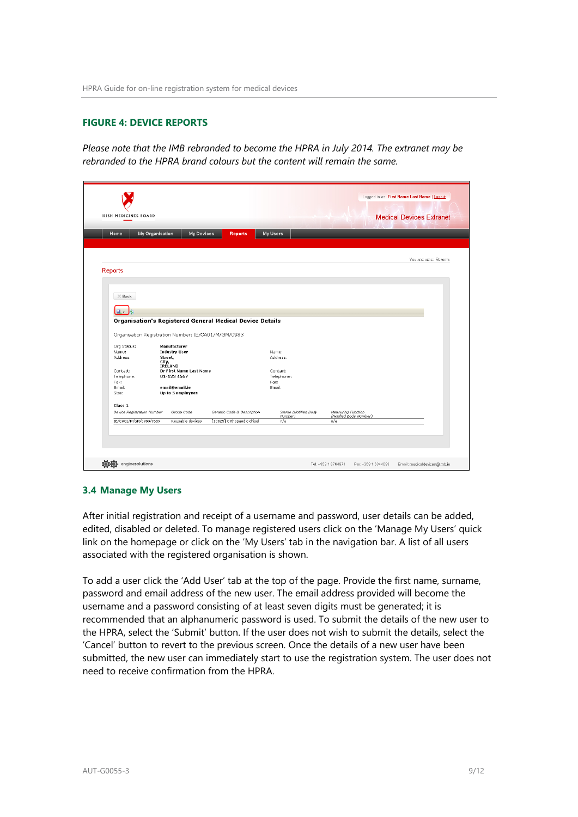#### <span id="page-8-0"></span>**FIGURE 4: DEVICE REPORTS**

*Please note that the IMB rebranded to become the HPRA in July 2014. The extranet may be rebranded to the HPRA brand colours but the content will remain the same.*

|                                  |                  | My Organisation<br><b>My Devices</b> | <b>Reports</b>                                           | My Users                          |                    |                        |                       |
|----------------------------------|------------------|--------------------------------------|----------------------------------------------------------|-----------------------------------|--------------------|------------------------|-----------------------|
|                                  |                  |                                      |                                                          |                                   |                    |                        |                       |
|                                  |                  |                                      |                                                          |                                   |                    |                        | YOU ARE HERE: REPORTS |
| <b>Reports</b>                   |                  |                                      |                                                          |                                   |                    |                        |                       |
|                                  |                  |                                      |                                                          |                                   |                    |                        |                       |
|                                  |                  |                                      |                                                          |                                   |                    |                        |                       |
| $\times$ Back                    |                  |                                      |                                                          |                                   |                    |                        |                       |
|                                  |                  |                                      |                                                          |                                   |                    |                        |                       |
|                                  |                  |                                      |                                                          |                                   |                    |                        |                       |
| ц.                               |                  |                                      | Organisation's Registered General Medical Device Details |                                   |                    |                        |                       |
| Org Status:<br>Name:<br>Address: | Street,<br>City, | Manufacturer<br><b>Industry User</b> | Organisation Registration Number: IE/CA01/M/GM/0983      | Name:<br>Address:                 |                    |                        |                       |
| Contact:                         | IRELAND          | Dr First Name Last Name              |                                                          | Contact:                          |                    |                        |                       |
| Telephone:                       |                  | 01-123 4567                          |                                                          | Telephone:                        |                    |                        |                       |
| Fax:<br>Email:                   |                  | email@email.ie                       |                                                          | Fax:<br>Email:                    |                    |                        |                       |
| Size:                            |                  | Up to 5 employees                    |                                                          |                                   |                    |                        |                       |
| Class 1                          |                  |                                      |                                                          |                                   |                    |                        |                       |
| Device Registration Number       |                  | Group Code                           | Generic Code & Description                               | Sterile (Notified Body<br>Number) | Measuring Function | (Notified Body Number) |                       |

#### <span id="page-8-1"></span>**3.4 Manage My Users**

After initial registration and receipt of a username and password, user details can be added, edited, disabled or deleted. To manage registered users click on the 'Manage My Users' quick link on the homepage or click on the 'My Users' tab in the navigation bar. A list of all users associated with the registered organisation is shown.

To add a user click the 'Add User' tab at the top of the page. Provide the first name, surname, password and email address of the new user. The email address provided will become the username and a password consisting of at least seven digits must be generated; it is recommended that an alphanumeric password is used. To submit the details of the new user to the HPRA, select the 'Submit' button. If the user does not wish to submit the details, select the 'Cancel' button to revert to the previous screen. Once the details of a new user have been submitted, the new user can immediately start to use the registration system. The user does not need to receive confirmation from the HPRA.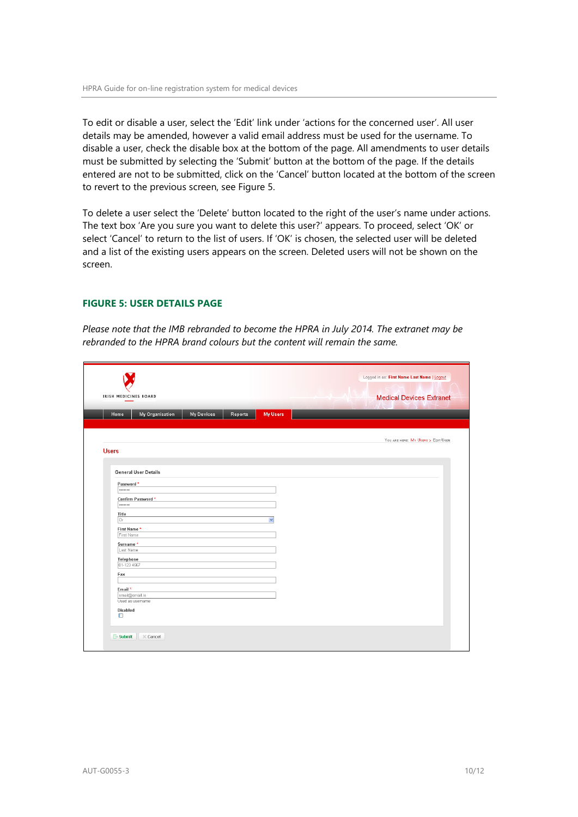To edit or disable a user, select the 'Edit' link under 'actions for the concerned user'. All user details may be amended, however a valid email address must be used for the username. To disable a user, check the disable box at the bottom of the page. All amendments to user details must be submitted by selecting the 'Submit' button at the bottom of the page. If the details entered are not to be submitted, click on the 'Cancel' button located at the bottom of the screen to revert to the previous screen, see Figure 5.

To delete a user select the 'Delete' button located to the right of the user's name under actions. The text box 'Are you sure you want to delete this user?' appears. To proceed, select 'OK' or select 'Cancel' to return to the list of users. If 'OK' is chosen, the selected user will be deleted and a list of the existing users appears on the screen. Deleted users will not be shown on the screen.

# <span id="page-9-0"></span>**FIGURE 5: USER DETAILS PAGE**

*Please note that the IMB rebranded to become the HPRA in July 2014. The extranet may be rebranded to the HPRA brand colours but the content will remain the same.*

| My Organisation<br><b>My Devices</b><br><b>My Users</b><br>Reports<br>Home<br><b>Users</b><br><b>General User Details</b><br>Password *<br> |                                   |
|---------------------------------------------------------------------------------------------------------------------------------------------|-----------------------------------|
|                                                                                                                                             | YOU ARE HERE MY USERS > EDIT USER |
|                                                                                                                                             |                                   |
|                                                                                                                                             |                                   |
|                                                                                                                                             |                                   |
|                                                                                                                                             |                                   |
|                                                                                                                                             |                                   |
| Confirm Password*<br>.                                                                                                                      |                                   |
| Title                                                                                                                                       |                                   |
| Dr<br>$\checkmark$                                                                                                                          |                                   |
| First Name*<br>First Name                                                                                                                   |                                   |
| Surname*                                                                                                                                    |                                   |
| Last Name                                                                                                                                   |                                   |
| Telephone                                                                                                                                   |                                   |
| 01-123 4567                                                                                                                                 |                                   |
| Fax                                                                                                                                         |                                   |
| Email*                                                                                                                                      |                                   |
|                                                                                                                                             |                                   |
| email@email.ie                                                                                                                              |                                   |
| Used as usemame                                                                                                                             |                                   |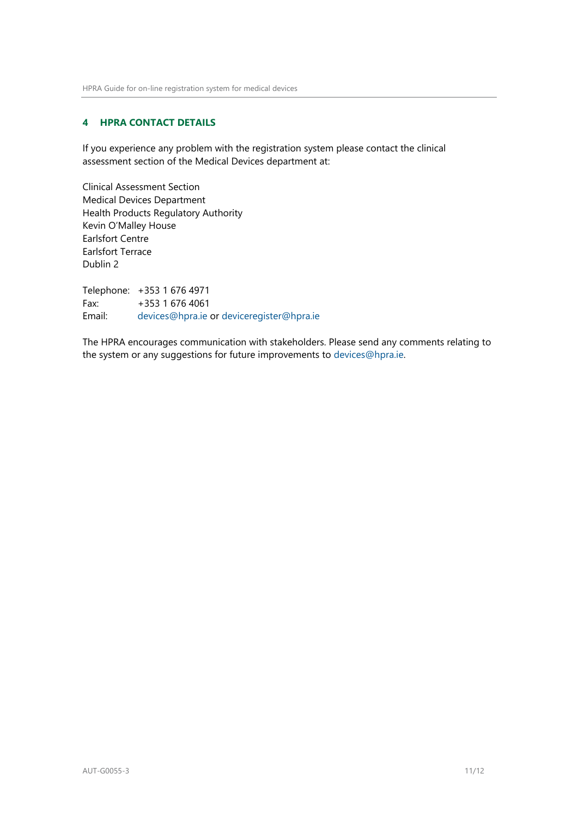# <span id="page-10-0"></span>**4 HPRA CONTACT DETAILS**

If you experience any problem with the registration system please contact the clinical assessment section of the Medical Devices department at:

Clinical Assessment Section Medical Devices Department Health Products Regulatory Authority Kevin O'Malley House Earlsfort Centre Earlsfort Terrace Dublin 2

Telephone: +353 1 676 4971 Fax: +353 1 676 4061 Email: [devices@hpra.ie](mailto:devices@hpra.ie) or [deviceregister@hpra.ie](mailto:deviceregister@hpra.ie)

The HPRA encourages communication with stakeholders. Please send any comments relating to the system or any suggestions for future improvements to [devices@hpra.ie.](mailto:devices@hpra.ie)